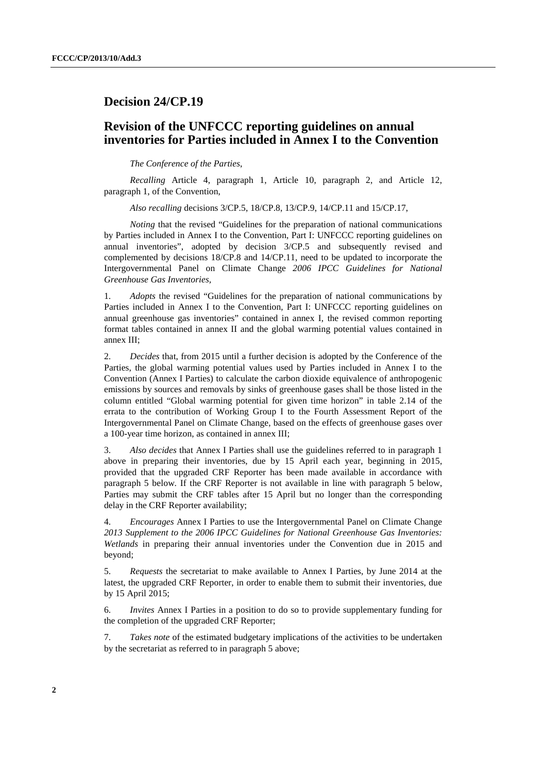# **Decision 24/CP.19**

# **Revision of the UNFCCC reporting guidelines on annual inventories for Parties included in Annex I to the Convention**

*The Conference of the Parties*,

 *Recalling* Article 4, paragraph 1, Article 10, paragraph 2, and Article 12, paragraph 1, of the Convention,

 *Also recalling* decisions 3/CP.5, 18/CP.8, 13/CP.9, 14/CP.11 and 15/CP.17,

 *Noting* that the revised "Guidelines for the preparation of national communications by Parties included in Annex I to the Convention, Part I: UNFCCC reporting guidelines on annual inventories", adopted by decision 3/CP.5 and subsequently revised and complemented by decisions 18/CP.8 and 14/CP.11, need to be updated to incorporate the Intergovernmental Panel on Climate Change *2006 IPCC Guidelines for National Greenhouse Gas Inventories,* 

1. *Adopts* the revised "Guidelines for the preparation of national communications by Parties included in Annex I to the Convention, Part I: UNFCCC reporting guidelines on annual greenhouse gas inventories" contained in annex I, the revised common reporting format tables contained in annex II and the global warming potential values contained in annex III;

2. *Decides* that, from 2015 until a further decision is adopted by the Conference of the Parties, the global warming potential values used by Parties included in Annex I to the Convention (Annex I Parties) to calculate the carbon dioxide equivalence of anthropogenic emissions by sources and removals by sinks of greenhouse gases shall be those listed in the column entitled "Global warming potential for given time horizon" in table 2.14 of the errata to the contribution of Working Group I to the Fourth Assessment Report of the Intergovernmental Panel on Climate Change, based on the effects of greenhouse gases over a 100-year time horizon, as contained in annex III;

3. *Also decides* that Annex I Parties shall use the guidelines referred to in paragraph 1 above in preparing their inventories, due by 15 April each year, beginning in 2015, provided that the upgraded CRF Reporter has been made available in accordance with paragraph 5 below. If the CRF Reporter is not available in line with paragraph 5 below, Parties may submit the CRF tables after 15 April but no longer than the corresponding delay in the CRF Reporter availability;

4. *Encourages* Annex I Parties to use the Intergovernmental Panel on Climate Change *2013 Supplement to the 2006 IPCC Guidelines for National Greenhouse Gas Inventories: Wetlands* in preparing their annual inventories under the Convention due in 2015 and beyond;

5. *Requests* the secretariat to make available to Annex I Parties, by June 2014 at the latest, the upgraded CRF Reporter, in order to enable them to submit their inventories, due by 15 April 2015;

6. *Invites* Annex I Parties in a position to do so to provide supplementary funding for the completion of the upgraded CRF Reporter;

7. *Takes note* of the estimated budgetary implications of the activities to be undertaken by the secretariat as referred to in paragraph 5 above;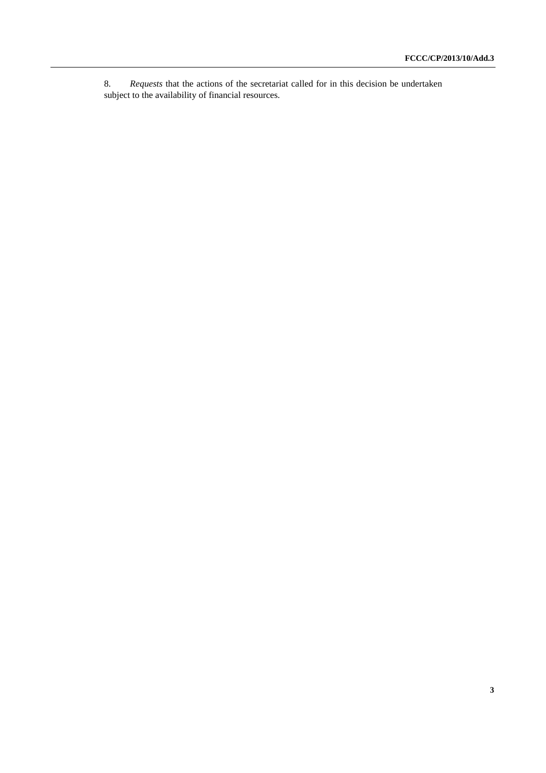8. *Requests* that the actions of the secretariat called for in this decision be undertaken subject to the availability of financial resources.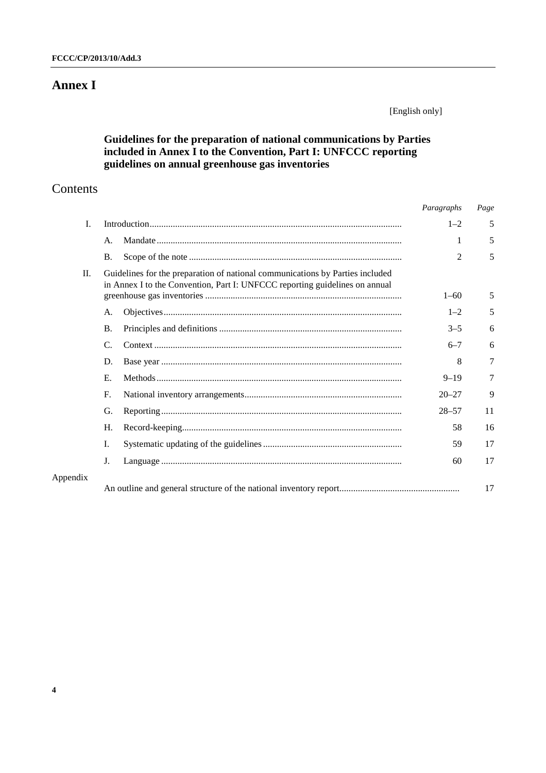# **Annex I**

[English only]

# **Guidelines for the preparation of national communications by Parties included in Annex I to the Convention, Part I: UNFCCC reporting guidelines on annual greenhouse gas inventories**

# Contents

|          |                                                                                                                                                              | Paragraphs | Page |
|----------|--------------------------------------------------------------------------------------------------------------------------------------------------------------|------------|------|
| I.       |                                                                                                                                                              | $1 - 2$    | 5    |
|          | A.                                                                                                                                                           | 1          | 5    |
|          | <b>B.</b>                                                                                                                                                    | 2          | 5    |
| П.       | Guidelines for the preparation of national communications by Parties included<br>in Annex I to the Convention, Part I: UNFCCC reporting guidelines on annual |            |      |
|          |                                                                                                                                                              | $1 - 60$   | 5    |
|          | А.                                                                                                                                                           | $1 - 2$    | 5    |
|          | <b>B.</b>                                                                                                                                                    | $3 - 5$    | 6    |
|          | $\mathcal{C}$ .                                                                                                                                              | $6 - 7$    | 6    |
|          | D.                                                                                                                                                           | 8          | 7    |
|          | $E_{\rm c}$                                                                                                                                                  | $9 - 19$   | 7    |
|          | $F_{\cdot}$                                                                                                                                                  | $20 - 27$  | 9    |
|          | G.                                                                                                                                                           | $28 - 57$  | 11   |
|          | H.                                                                                                                                                           | 58         | 16   |
|          | Ι.                                                                                                                                                           | 59         | 17   |
|          | J.                                                                                                                                                           | 60         | 17   |
| Appendix |                                                                                                                                                              |            | 17   |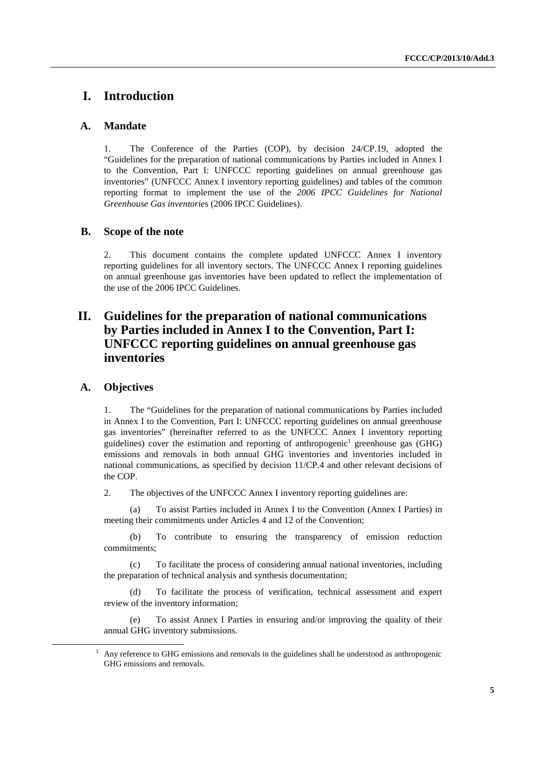# **I. Introduction**

# **A. Mandate**

1. The Conference of the Parties (COP), by decision 24/CP.19, adopted the "Guidelines for the preparation of national communications by Parties included in Annex I to the Convention, Part I: UNFCCC reporting guidelines on annual greenhouse gas inventories" (UNFCCC Annex I inventory reporting guidelines) and tables of the common reporting format to implement the use of the *2006 IPCC Guidelines for National Greenhouse Gas inventorie*s (2006 IPCC Guidelines).

# **B. Scope of the note**

2. This document contains the complete updated UNFCCC Annex I inventory reporting guidelines for all inventory sectors. The UNFCCC Annex I reporting guidelines on annual greenhouse gas inventories have been updated to reflect the implementation of the use of the 2006 IPCC Guidelines.

# **II. Guidelines for the preparation of national communications by Parties included in Annex I to the Convention, Part I: UNFCCC reporting guidelines on annual greenhouse gas inventories**

# **A. Objectives**

1. The "Guidelines for the preparation of national communications by Parties included in Annex I to the Convention, Part I: UNFCCC reporting guidelines on annual greenhouse gas inventories" (hereinafter referred to as the UNFCCC Annex I inventory reporting guidelines) cover the estimation and reporting of anthropogenic<sup>1</sup> greenhouse gas (GHG) emissions and removals in both annual GHG inventories and inventories included in national communications, as specified by decision 11/CP.4 and other relevant decisions of the COP.

2. The objectives of the UNFCCC Annex I inventory reporting guidelines are:

To assist Parties included in Annex I to the Convention (Annex I Parties) in meeting their commitments under Articles 4 and 12 of the Convention;

 (b) To contribute to ensuring the transparency of emission reduction commitments;

 (c) To facilitate the process of considering annual national inventories, including the preparation of technical analysis and synthesis documentation;

To facilitate the process of verification, technical assessment and expert review of the inventory information;

 (e) To assist Annex I Parties in ensuring and/or improving the quality of their annual GHG inventory submissions.

 <sup>1</sup> Any reference to GHG emissions and removals in the guidelines shall be understood as anthropogenic GHG emissions and removals.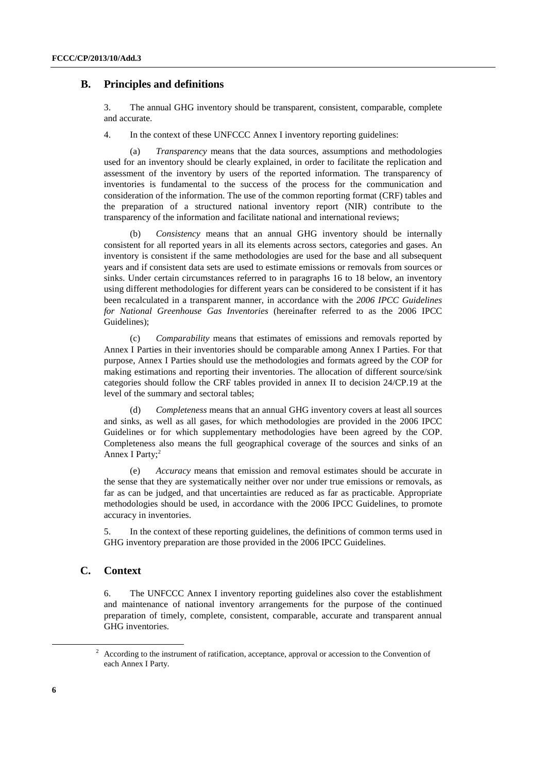# **B. Principles and definitions**

3. The annual GHG inventory should be transparent, consistent, comparable, complete and accurate.

4. In the context of these UNFCCC Annex I inventory reporting guidelines:

 (a) *Transparency* means that the data sources, assumptions and methodologies used for an inventory should be clearly explained, in order to facilitate the replication and assessment of the inventory by users of the reported information. The transparency of inventories is fundamental to the success of the process for the communication and consideration of the information. The use of the common reporting format (CRF) tables and the preparation of a structured national inventory report (NIR) contribute to the transparency of the information and facilitate national and international reviews;

 (b) *Consistency* means that an annual GHG inventory should be internally consistent for all reported years in all its elements across sectors, categories and gases. An inventory is consistent if the same methodologies are used for the base and all subsequent years and if consistent data sets are used to estimate emissions or removals from sources or sinks. Under certain circumstances referred to in paragraphs 16 to 18 below, an inventory using different methodologies for different years can be considered to be consistent if it has been recalculated in a transparent manner, in accordance with the *2006 IPCC Guidelines for National Greenhouse Gas Inventories* (hereinafter referred to as the 2006 IPCC Guidelines);

 (c) *Comparability* means that estimates of emissions and removals reported by Annex I Parties in their inventories should be comparable among Annex I Parties. For that purpose, Annex I Parties should use the methodologies and formats agreed by the COP for making estimations and reporting their inventories. The allocation of different source/sink categories should follow the CRF tables provided in annex II to decision 24/CP.19 at the level of the summary and sectoral tables;

 (d) *Completeness* means that an annual GHG inventory covers at least all sources and sinks, as well as all gases, for which methodologies are provided in the 2006 IPCC Guidelines or for which supplementary methodologies have been agreed by the COP. Completeness also means the full geographical coverage of the sources and sinks of an Annex I Party;<sup>2</sup>

 (e) *Accuracy* means that emission and removal estimates should be accurate in the sense that they are systematically neither over nor under true emissions or removals, as far as can be judged, and that uncertainties are reduced as far as practicable. Appropriate methodologies should be used, in accordance with the 2006 IPCC Guidelines, to promote accuracy in inventories.

5. In the context of these reporting guidelines, the definitions of common terms used in GHG inventory preparation are those provided in the 2006 IPCC Guidelines.

# **C. Context**

6. The UNFCCC Annex I inventory reporting guidelines also cover the establishment and maintenance of national inventory arrangements for the purpose of the continued preparation of timely, complete, consistent, comparable, accurate and transparent annual GHG inventories.

 <sup>2</sup> <sup>2</sup> According to the instrument of ratification, acceptance, approval or accession to the Convention of each Annex I Party.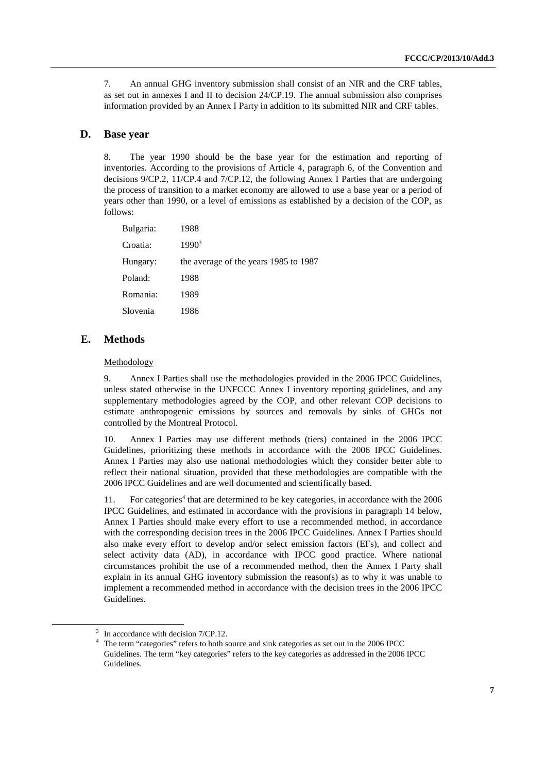7. An annual GHG inventory submission shall consist of an NIR and the CRF tables, as set out in annexes I and II to decision 24/CP.19. The annual submission also comprises information provided by an Annex I Party in addition to its submitted NIR and CRF tables.

### **D. Base year**

8. The year 1990 should be the base year for the estimation and reporting of inventories. According to the provisions of Article 4, paragraph 6, of the Convention and decisions 9/CP.2, 11/CP.4 and 7/CP.12, the following Annex I Parties that are undergoing the process of transition to a market economy are allowed to use a base year or a period of years other than 1990, or a level of emissions as established by a decision of the COP, as follows:

| Bulgaria: | 1988                                  |
|-----------|---------------------------------------|
| Croatia:  | $1990^3$                              |
| Hungary:  | the average of the years 1985 to 1987 |
| Poland:   | 1988                                  |
| Romania:  | 1989                                  |
| Slovenia  | 1986                                  |

# **E. Methods**

#### Methodology

9. Annex I Parties shall use the methodologies provided in the 2006 IPCC Guidelines, unless stated otherwise in the UNFCCC Annex I inventory reporting guidelines, and any supplementary methodologies agreed by the COP, and other relevant COP decisions to estimate anthropogenic emissions by sources and removals by sinks of GHGs not controlled by the Montreal Protocol.

10. Annex I Parties may use different methods (tiers) contained in the 2006 IPCC Guidelines, prioritizing these methods in accordance with the 2006 IPCC Guidelines. Annex I Parties may also use national methodologies which they consider better able to reflect their national situation, provided that these methodologies are compatible with the 2006 IPCC Guidelines and are well documented and scientifically based.

11. For categories<sup>4</sup> that are determined to be key categories, in accordance with the 2006 IPCC Guidelines, and estimated in accordance with the provisions in paragraph 14 below, Annex I Parties should make every effort to use a recommended method, in accordance with the corresponding decision trees in the 2006 IPCC Guidelines. Annex I Parties should also make every effort to develop and/or select emission factors (EFs), and collect and select activity data (AD), in accordance with IPCC good practice. Where national circumstances prohibit the use of a recommended method, then the Annex I Party shall explain in its annual GHG inventory submission the reason(s) as to why it was unable to implement a recommended method in accordance with the decision trees in the 2006 IPCC Guidelines.

 <sup>3</sup> In accordance with decision 7/CP.12.

<sup>4</sup> The term "categories" refers to both source and sink categories as set out in the 2006 IPCC Guidelines. The term "key categories" refers to the key categories as addressed in the 2006 IPCC Guidelines.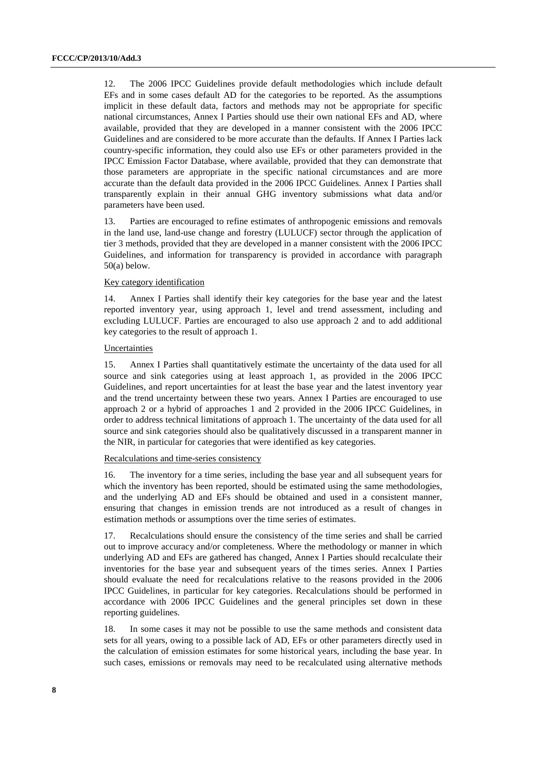12. The 2006 IPCC Guidelines provide default methodologies which include default EFs and in some cases default AD for the categories to be reported. As the assumptions implicit in these default data, factors and methods may not be appropriate for specific national circumstances, Annex I Parties should use their own national EFs and AD, where available, provided that they are developed in a manner consistent with the 2006 IPCC Guidelines and are considered to be more accurate than the defaults. If Annex I Parties lack country-specific information, they could also use EFs or other parameters provided in the IPCC Emission Factor Database, where available, provided that they can demonstrate that those parameters are appropriate in the specific national circumstances and are more accurate than the default data provided in the 2006 IPCC Guidelines. Annex I Parties shall transparently explain in their annual GHG inventory submissions what data and/or parameters have been used.

13. Parties are encouraged to refine estimates of anthropogenic emissions and removals in the land use, land-use change and forestry (LULUCF) sector through the application of tier 3 methods, provided that they are developed in a manner consistent with the 2006 IPCC Guidelines, and information for transparency is provided in accordance with paragraph 50(a) below.

#### Key category identification

14. Annex I Parties shall identify their key categories for the base year and the latest reported inventory year, using approach 1, level and trend assessment, including and excluding LULUCF. Parties are encouraged to also use approach 2 and to add additional key categories to the result of approach 1.

#### Uncertainties

15. Annex I Parties shall quantitatively estimate the uncertainty of the data used for all source and sink categories using at least approach 1, as provided in the 2006 IPCC Guidelines, and report uncertainties for at least the base year and the latest inventory year and the trend uncertainty between these two years. Annex I Parties are encouraged to use approach 2 or a hybrid of approaches 1 and 2 provided in the 2006 IPCC Guidelines, in order to address technical limitations of approach 1. The uncertainty of the data used for all source and sink categories should also be qualitatively discussed in a transparent manner in the NIR, in particular for categories that were identified as key categories.

#### Recalculations and time-series consistency

16. The inventory for a time series, including the base year and all subsequent years for which the inventory has been reported, should be estimated using the same methodologies, and the underlying AD and EFs should be obtained and used in a consistent manner, ensuring that changes in emission trends are not introduced as a result of changes in estimation methods or assumptions over the time series of estimates.

17. Recalculations should ensure the consistency of the time series and shall be carried out to improve accuracy and/or completeness. Where the methodology or manner in which underlying AD and EFs are gathered has changed, Annex I Parties should recalculate their inventories for the base year and subsequent years of the times series. Annex I Parties should evaluate the need for recalculations relative to the reasons provided in the 2006 IPCC Guidelines, in particular for key categories. Recalculations should be performed in accordance with 2006 IPCC Guidelines and the general principles set down in these reporting guidelines.

18. In some cases it may not be possible to use the same methods and consistent data sets for all years, owing to a possible lack of AD, EFs or other parameters directly used in the calculation of emission estimates for some historical years, including the base year. In such cases, emissions or removals may need to be recalculated using alternative methods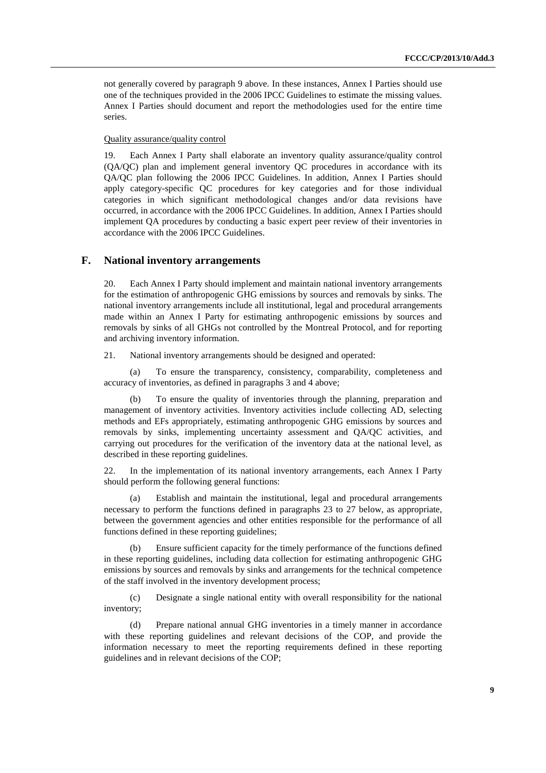not generally covered by paragraph 9 above. In these instances, Annex I Parties should use one of the techniques provided in the 2006 IPCC Guidelines to estimate the missing values. Annex I Parties should document and report the methodologies used for the entire time series.

### Quality assurance/quality control

19. Each Annex I Party shall elaborate an inventory quality assurance/quality control (QA/QC) plan and implement general inventory QC procedures in accordance with its QA/QC plan following the 2006 IPCC Guidelines. In addition, Annex I Parties should apply category-specific QC procedures for key categories and for those individual categories in which significant methodological changes and/or data revisions have occurred, in accordance with the 2006 IPCC Guidelines. In addition, Annex I Parties should implement QA procedures by conducting a basic expert peer review of their inventories in accordance with the 2006 IPCC Guidelines.

## **F. National inventory arrangements**

20. Each Annex I Party should implement and maintain national inventory arrangements for the estimation of anthropogenic GHG emissions by sources and removals by sinks. The national inventory arrangements include all institutional, legal and procedural arrangements made within an Annex I Party for estimating anthropogenic emissions by sources and removals by sinks of all GHGs not controlled by the Montreal Protocol, and for reporting and archiving inventory information.

21. National inventory arrangements should be designed and operated:

 (a) To ensure the transparency, consistency, comparability, completeness and accuracy of inventories, as defined in paragraphs 3 and 4 above;

To ensure the quality of inventories through the planning, preparation and management of inventory activities. Inventory activities include collecting AD, selecting methods and EFs appropriately, estimating anthropogenic GHG emissions by sources and removals by sinks, implementing uncertainty assessment and QA/QC activities, and carrying out procedures for the verification of the inventory data at the national level, as described in these reporting guidelines.

22. In the implementation of its national inventory arrangements, each Annex I Party should perform the following general functions:

 (a) Establish and maintain the institutional, legal and procedural arrangements necessary to perform the functions defined in paragraphs 23 to 27 below, as appropriate, between the government agencies and other entities responsible for the performance of all functions defined in these reporting guidelines:

 (b) Ensure sufficient capacity for the timely performance of the functions defined in these reporting guidelines, including data collection for estimating anthropogenic GHG emissions by sources and removals by sinks and arrangements for the technical competence of the staff involved in the inventory development process;

 (c) Designate a single national entity with overall responsibility for the national inventory;

 (d) Prepare national annual GHG inventories in a timely manner in accordance with these reporting guidelines and relevant decisions of the COP, and provide the information necessary to meet the reporting requirements defined in these reporting guidelines and in relevant decisions of the COP;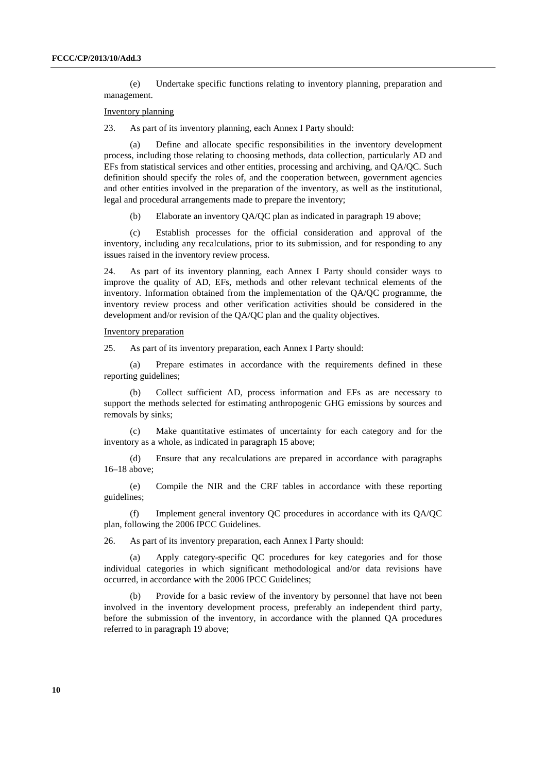(e) Undertake specific functions relating to inventory planning, preparation and management.

#### Inventory planning

23. As part of its inventory planning, each Annex I Party should:

 (a) Define and allocate specific responsibilities in the inventory development process, including those relating to choosing methods, data collection, particularly AD and EFs from statistical services and other entities, processing and archiving, and QA/QC. Such definition should specify the roles of, and the cooperation between, government agencies and other entities involved in the preparation of the inventory, as well as the institutional, legal and procedural arrangements made to prepare the inventory;

(b) Elaborate an inventory QA/QC plan as indicated in paragraph 19 above;

 (c) Establish processes for the official consideration and approval of the inventory, including any recalculations, prior to its submission, and for responding to any issues raised in the inventory review process.

24. As part of its inventory planning, each Annex I Party should consider ways to improve the quality of AD, EFs, methods and other relevant technical elements of the inventory. Information obtained from the implementation of the QA/QC programme, the inventory review process and other verification activities should be considered in the development and/or revision of the QA/QC plan and the quality objectives.

#### Inventory preparation

25. As part of its inventory preparation, each Annex I Party should:

 (a) Prepare estimates in accordance with the requirements defined in these reporting guidelines;

 (b) Collect sufficient AD, process information and EFs as are necessary to support the methods selected for estimating anthropogenic GHG emissions by sources and removals by sinks;

 (c) Make quantitative estimates of uncertainty for each category and for the inventory as a whole, as indicated in paragraph 15 above;

 (d) Ensure that any recalculations are prepared in accordance with paragraphs 16–18 above;

 (e) Compile the NIR and the CRF tables in accordance with these reporting guidelines;

 (f) Implement general inventory QC procedures in accordance with its QA/QC plan, following the 2006 IPCC Guidelines.

26. As part of its inventory preparation, each Annex I Party should:

 (a) Apply category-specific QC procedures for key categories and for those individual categories in which significant methodological and/or data revisions have occurred, in accordance with the 2006 IPCC Guidelines;

 (b) Provide for a basic review of the inventory by personnel that have not been involved in the inventory development process, preferably an independent third party, before the submission of the inventory, in accordance with the planned QA procedures referred to in paragraph 19 above;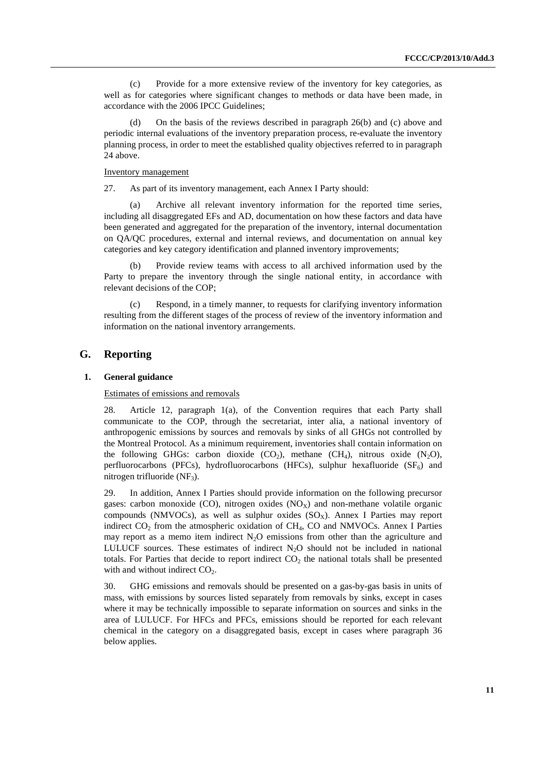(c) Provide for a more extensive review of the inventory for key categories, as well as for categories where significant changes to methods or data have been made, in accordance with the 2006 IPCC Guidelines;

On the basis of the reviews described in paragraph  $26(b)$  and (c) above and periodic internal evaluations of the inventory preparation process, re-evaluate the inventory planning process, in order to meet the established quality objectives referred to in paragraph 24 above.

#### Inventory management

27. As part of its inventory management, each Annex I Party should:

 (a) Archive all relevant inventory information for the reported time series, including all disaggregated EFs and AD, documentation on how these factors and data have been generated and aggregated for the preparation of the inventory, internal documentation on QA/QC procedures, external and internal reviews, and documentation on annual key categories and key category identification and planned inventory improvements;

Provide review teams with access to all archived information used by the Party to prepare the inventory through the single national entity, in accordance with relevant decisions of the COP;

 (c) Respond, in a timely manner, to requests for clarifying inventory information resulting from the different stages of the process of review of the inventory information and information on the national inventory arrangements.

### **G. Reporting**

#### **1. General guidance**

Estimates of emissions and removals

28. Article 12, paragraph 1(a), of the Convention requires that each Party shall communicate to the COP, through the secretariat, inter alia, a national inventory of anthropogenic emissions by sources and removals by sinks of all GHGs not controlled by the Montreal Protocol. As a minimum requirement, inventories shall contain information on the following GHGs: carbon dioxide  $(CO_2)$ , methane  $(CH_4)$ , nitrous oxide  $(N_2O)$ , perfluorocarbons (PFCs), hydrofluorocarbons (HFCs), sulphur hexafluoride  $(SF_6)$  and nitrogen trifluoride  $(NF_3)$ .

29. In addition, Annex I Parties should provide information on the following precursor gases: carbon monoxide (CO), nitrogen oxides  $(NO<sub>X</sub>)$  and non-methane volatile organic compounds (NMVOCs), as well as sulphur oxides  $(SO<sub>x</sub>)$ . Annex I Parties may report indirect  $CO_2$  from the atmospheric oxidation of  $CH_4$ ,  $CO$  and NMVOCs. Annex I Parties may report as a memo item indirect  $N_2O$  emissions from other than the agriculture and LULUCF sources. These estimates of indirect  $N_2O$  should not be included in national totals. For Parties that decide to report indirect  $CO<sub>2</sub>$  the national totals shall be presented with and without indirect  $CO<sub>2</sub>$ .

30. GHG emissions and removals should be presented on a gas-by-gas basis in units of mass, with emissions by sources listed separately from removals by sinks, except in cases where it may be technically impossible to separate information on sources and sinks in the area of LULUCF. For HFCs and PFCs, emissions should be reported for each relevant chemical in the category on a disaggregated basis, except in cases where paragraph 36 below applies.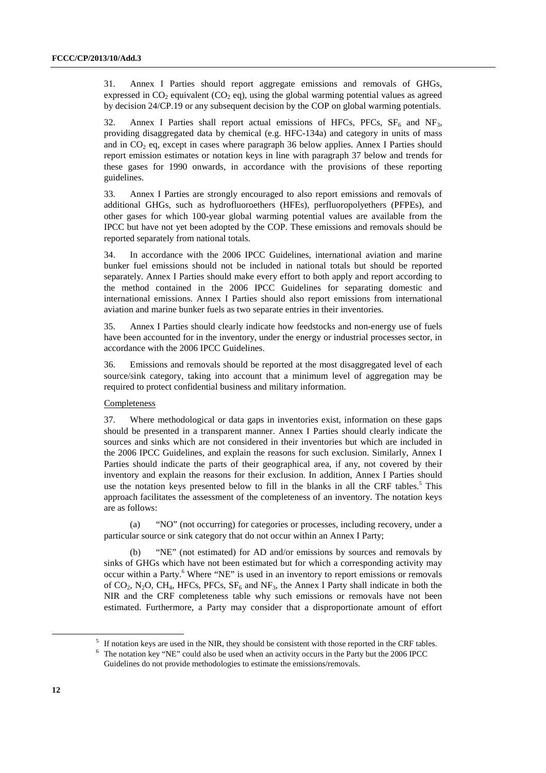31. Annex I Parties should report aggregate emissions and removals of GHGs, expressed in  $CO_2$  equivalent  $(CO_2$  eq), using the global warming potential values as agreed by decision 24/CP.19 or any subsequent decision by the COP on global warming potentials.

32. Annex I Parties shall report actual emissions of HFCs, PFCs,  $SF<sub>6</sub>$  and  $NF<sub>3</sub>$ , providing disaggregated data by chemical (e.g. HFC-134a) and category in units of mass and in  $CO<sub>2</sub>$  eq, except in cases where paragraph 36 below applies. Annex I Parties should report emission estimates or notation keys in line with paragraph 37 below and trends for these gases for 1990 onwards, in accordance with the provisions of these reporting guidelines.

33. Annex I Parties are strongly encouraged to also report emissions and removals of additional GHGs, such as hydrofluoroethers (HFEs), perfluoropolyethers (PFPEs), and other gases for which 100-year global warming potential values are available from the IPCC but have not yet been adopted by the COP. These emissions and removals should be reported separately from national totals.

34. In accordance with the 2006 IPCC Guidelines, international aviation and marine bunker fuel emissions should not be included in national totals but should be reported separately. Annex I Parties should make every effort to both apply and report according to the method contained in the 2006 IPCC Guidelines for separating domestic and international emissions. Annex I Parties should also report emissions from international aviation and marine bunker fuels as two separate entries in their inventories.

35. Annex I Parties should clearly indicate how feedstocks and non-energy use of fuels have been accounted for in the inventory, under the energy or industrial processes sector, in accordance with the 2006 IPCC Guidelines.

36. Emissions and removals should be reported at the most disaggregated level of each source/sink category, taking into account that a minimum level of aggregation may be required to protect confidential business and military information.

## **Completeness**

37. Where methodological or data gaps in inventories exist, information on these gaps should be presented in a transparent manner. Annex I Parties should clearly indicate the sources and sinks which are not considered in their inventories but which are included in the 2006 IPCC Guidelines, and explain the reasons for such exclusion. Similarly, Annex I Parties should indicate the parts of their geographical area, if any, not covered by their inventory and explain the reasons for their exclusion. In addition, Annex I Parties should use the notation keys presented below to fill in the blanks in all the CRF tables.<sup>5</sup> This approach facilitates the assessment of the completeness of an inventory. The notation keys are as follows:

 (a) "NO" (not occurring) for categories or processes, including recovery, under a particular source or sink category that do not occur within an Annex I Party;

 (b) "NE" (not estimated) for AD and/or emissions by sources and removals by sinks of GHGs which have not been estimated but for which a corresponding activity may occur within a Party.<sup>6</sup> Where "NE" is used in an inventory to report emissions or removals of  $CO_2$ , N<sub>2</sub>O, CH<sub>4</sub>, HFCs, PFCs,  $SF_6$  and NF<sub>3</sub>, the Annex I Party shall indicate in both the NIR and the CRF completeness table why such emissions or removals have not been estimated. Furthermore, a Party may consider that a disproportionate amount of effort

 $\frac{1}{5}$ <sup>5</sup> If notation keys are used in the NIR, they should be consistent with those reported in the CRF tables.

<sup>&</sup>lt;sup>6</sup> The notation key "NE" could also be used when an activity occurs in the Party but the 2006 IPCC Guidelines do not provide methodologies to estimate the emissions/removals.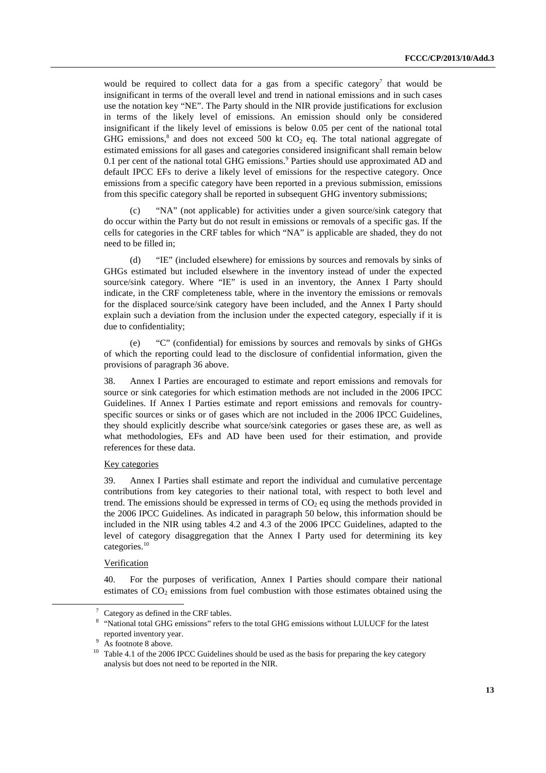would be required to collect data for a gas from a specific category<sup>7</sup> that would be insignificant in terms of the overall level and trend in national emissions and in such cases use the notation key "NE". The Party should in the NIR provide justifications for exclusion in terms of the likely level of emissions. An emission should only be considered insignificant if the likely level of emissions is below 0.05 per cent of the national total GHG emissions,<sup>8</sup> and does not exceed 500 kt  $CO<sub>2</sub>$  eq. The total national aggregate of estimated emissions for all gases and categories considered insignificant shall remain below 0.1 per cent of the national total GHG emissions.<sup>9</sup> Parties should use approximated AD and default IPCC EFs to derive a likely level of emissions for the respective category. Once emissions from a specific category have been reported in a previous submission, emissions from this specific category shall be reported in subsequent GHG inventory submissions;

 (c) "NA" (not applicable) for activities under a given source/sink category that do occur within the Party but do not result in emissions or removals of a specific gas. If the cells for categories in the CRF tables for which "NA" is applicable are shaded, they do not need to be filled in;

 (d) "IE" (included elsewhere) for emissions by sources and removals by sinks of GHGs estimated but included elsewhere in the inventory instead of under the expected source/sink category. Where "IE" is used in an inventory, the Annex I Party should indicate, in the CRF completeness table, where in the inventory the emissions or removals for the displaced source/sink category have been included, and the Annex I Party should explain such a deviation from the inclusion under the expected category, especially if it is due to confidentiality;

 (e) "C" (confidential) for emissions by sources and removals by sinks of GHGs of which the reporting could lead to the disclosure of confidential information, given the provisions of paragraph 36 above.

38. Annex I Parties are encouraged to estimate and report emissions and removals for source or sink categories for which estimation methods are not included in the 2006 IPCC Guidelines. If Annex I Parties estimate and report emissions and removals for countryspecific sources or sinks or of gases which are not included in the 2006 IPCC Guidelines, they should explicitly describe what source/sink categories or gases these are, as well as what methodologies, EFs and AD have been used for their estimation, and provide references for these data.

#### Key categories

39. Annex I Parties shall estimate and report the individual and cumulative percentage contributions from key categories to their national total, with respect to both level and trend. The emissions should be expressed in terms of  $CO<sub>2</sub>$  eq using the methods provided in the 2006 IPCC Guidelines. As indicated in paragraph 50 below, this information should be included in the NIR using tables 4.2 and 4.3 of the 2006 IPCC Guidelines, adapted to the level of category disaggregation that the Annex I Party used for determining its key categories.<sup>10</sup>

### **Verification**

40. For the purposes of verification, Annex I Parties should compare their national estimates of  $CO<sub>2</sub>$  emissions from fuel combustion with those estimates obtained using the

 <sup>7</sup> Category as defined in the CRF tables.

<sup>&</sup>lt;sup>8</sup> "National total GHG emissions" refers to the total GHG emissions without LULUCF for the latest reported inventory year.

As footnote 8 above.

<sup>&</sup>lt;sup>10</sup> Table 4.1 of the 2006 IPCC Guidelines should be used as the basis for preparing the key category analysis but does not need to be reported in the NIR.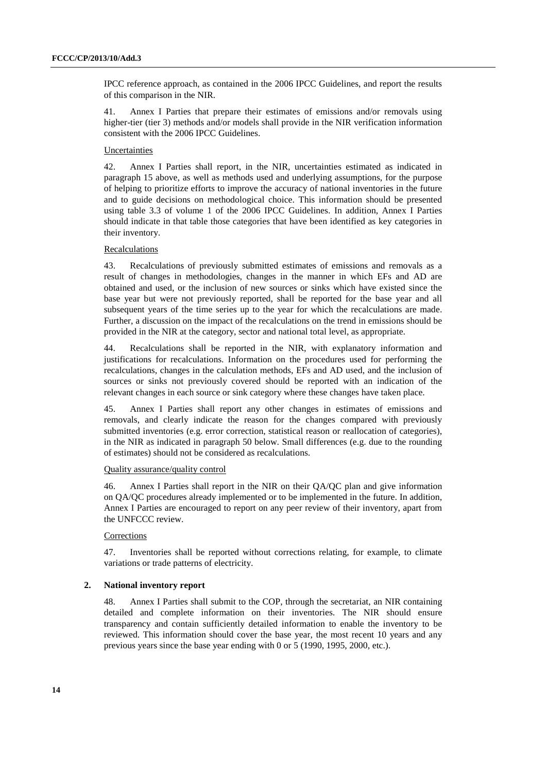IPCC reference approach, as contained in the 2006 IPCC Guidelines, and report the results of this comparison in the NIR.

41. Annex I Parties that prepare their estimates of emissions and/or removals using higher-tier (tier 3) methods and/or models shall provide in the NIR verification information consistent with the 2006 IPCC Guidelines.

### Uncertainties

42. Annex I Parties shall report, in the NIR, uncertainties estimated as indicated in paragraph 15 above, as well as methods used and underlying assumptions, for the purpose of helping to prioritize efforts to improve the accuracy of national inventories in the future and to guide decisions on methodological choice. This information should be presented using table 3.3 of volume 1 of the 2006 IPCC Guidelines. In addition, Annex I Parties should indicate in that table those categories that have been identified as key categories in their inventory.

#### Recalculations

43. Recalculations of previously submitted estimates of emissions and removals as a result of changes in methodologies, changes in the manner in which EFs and AD are obtained and used, or the inclusion of new sources or sinks which have existed since the base year but were not previously reported, shall be reported for the base year and all subsequent years of the time series up to the year for which the recalculations are made. Further, a discussion on the impact of the recalculations on the trend in emissions should be provided in the NIR at the category, sector and national total level, as appropriate.

44. Recalculations shall be reported in the NIR, with explanatory information and justifications for recalculations. Information on the procedures used for performing the recalculations, changes in the calculation methods, EFs and AD used, and the inclusion of sources or sinks not previously covered should be reported with an indication of the relevant changes in each source or sink category where these changes have taken place.

45. Annex I Parties shall report any other changes in estimates of emissions and removals, and clearly indicate the reason for the changes compared with previously submitted inventories (e.g. error correction, statistical reason or reallocation of categories), in the NIR as indicated in paragraph 50 below. Small differences (e.g. due to the rounding of estimates) should not be considered as recalculations.

### Quality assurance/quality control

46. Annex I Parties shall report in the NIR on their QA/QC plan and give information on QA/QC procedures already implemented or to be implemented in the future. In addition, Annex I Parties are encouraged to report on any peer review of their inventory, apart from the UNFCCC review.

#### Corrections

47. Inventories shall be reported without corrections relating, for example, to climate variations or trade patterns of electricity.

#### **2. National inventory report**

48. Annex I Parties shall submit to the COP, through the secretariat, an NIR containing detailed and complete information on their inventories. The NIR should ensure transparency and contain sufficiently detailed information to enable the inventory to be reviewed. This information should cover the base year, the most recent 10 years and any previous years since the base year ending with 0 or 5 (1990, 1995, 2000, etc.).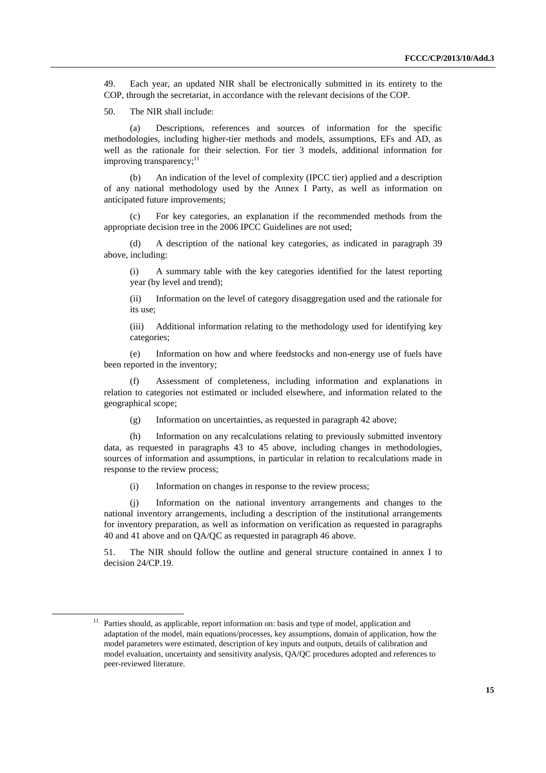49. Each year, an updated NIR shall be electronically submitted in its entirety to the COP, through the secretariat, in accordance with the relevant decisions of the COP.

50. The NIR shall include:

 (a) Descriptions, references and sources of information for the specific methodologies, including higher-tier methods and models, assumptions, EFs and AD, as well as the rationale for their selection. For tier 3 models, additional information for improving transparency; $11$ 

 (b) An indication of the level of complexity (IPCC tier) applied and a description of any national methodology used by the Annex I Party, as well as information on anticipated future improvements;

 (c) For key categories, an explanation if the recommended methods from the appropriate decision tree in the 2006 IPCC Guidelines are not used;

 (d) A description of the national key categories, as indicated in paragraph 39 above, including:

(i) A summary table with the key categories identified for the latest reporting year (by level and trend);

(ii) Information on the level of category disaggregation used and the rationale for its use;

(iii) Additional information relating to the methodology used for identifying key categories;

 (e) Information on how and where feedstocks and non-energy use of fuels have been reported in the inventory;

 (f) Assessment of completeness, including information and explanations in relation to categories not estimated or included elsewhere, and information related to the geographical scope;

(g) Information on uncertainties, as requested in paragraph 42 above;

 (h) Information on any recalculations relating to previously submitted inventory data, as requested in paragraphs 43 to 45 above, including changes in methodologies, sources of information and assumptions, in particular in relation to recalculations made in response to the review process;

(i) Information on changes in response to the review process;

 (j) Information on the national inventory arrangements and changes to the national inventory arrangements, including a description of the institutional arrangements for inventory preparation, as well as information on verification as requested in paragraphs 40 and 41 above and on QA/QC as requested in paragraph 46 above.

51. The NIR should follow the outline and general structure contained in annex I to decision 24/CP.19.

 $11$  Parties should, as applicable, report information on: basis and type of model, application and adaptation of the model, main equations/processes, key assumptions, domain of application, how the model parameters were estimated, description of key inputs and outputs, details of calibration and model evaluation, uncertainty and sensitivity analysis, QA/QC procedures adopted and references to peer-reviewed literature.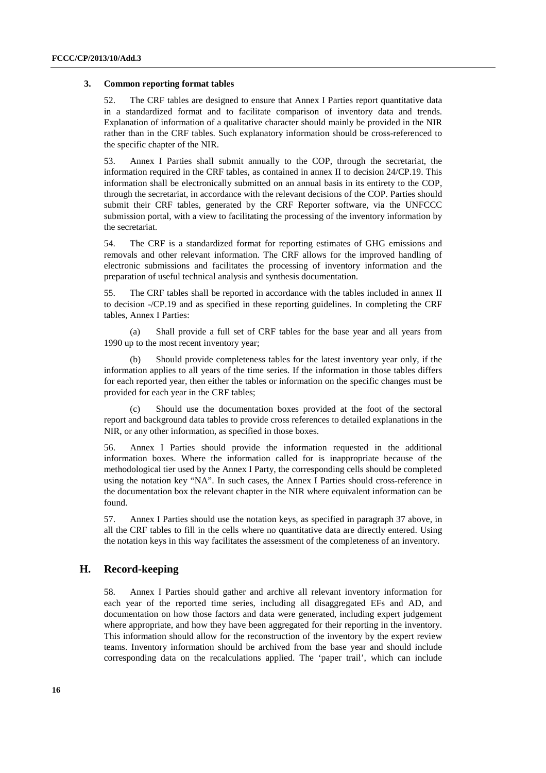#### **3. Common reporting format tables**

52. The CRF tables are designed to ensure that Annex I Parties report quantitative data in a standardized format and to facilitate comparison of inventory data and trends. Explanation of information of a qualitative character should mainly be provided in the NIR rather than in the CRF tables. Such explanatory information should be cross-referenced to the specific chapter of the NIR.

53. Annex I Parties shall submit annually to the COP, through the secretariat, the information required in the CRF tables, as contained in annex II to decision 24/CP.19. This information shall be electronically submitted on an annual basis in its entirety to the COP, through the secretariat, in accordance with the relevant decisions of the COP. Parties should submit their CRF tables, generated by the CRF Reporter software, via the UNFCCC submission portal, with a view to facilitating the processing of the inventory information by the secretariat.

54. The CRF is a standardized format for reporting estimates of GHG emissions and removals and other relevant information. The CRF allows for the improved handling of electronic submissions and facilitates the processing of inventory information and the preparation of useful technical analysis and synthesis documentation.

55. The CRF tables shall be reported in accordance with the tables included in annex II to decision -/CP.19 and as specified in these reporting guidelines. In completing the CRF tables, Annex I Parties:

 (a) Shall provide a full set of CRF tables for the base year and all years from 1990 up to the most recent inventory year;

Should provide completeness tables for the latest inventory year only, if the information applies to all years of the time series. If the information in those tables differs for each reported year, then either the tables or information on the specific changes must be provided for each year in the CRF tables;

Should use the documentation boxes provided at the foot of the sectoral report and background data tables to provide cross references to detailed explanations in the NIR, or any other information, as specified in those boxes.

56. Annex I Parties should provide the information requested in the additional information boxes. Where the information called for is inappropriate because of the methodological tier used by the Annex I Party, the corresponding cells should be completed using the notation key "NA". In such cases, the Annex I Parties should cross-reference in the documentation box the relevant chapter in the NIR where equivalent information can be found.

57. Annex I Parties should use the notation keys, as specified in paragraph 37 above, in all the CRF tables to fill in the cells where no quantitative data are directly entered. Using the notation keys in this way facilitates the assessment of the completeness of an inventory.

# **H. Record-keeping**

58. Annex I Parties should gather and archive all relevant inventory information for each year of the reported time series, including all disaggregated EFs and AD, and documentation on how those factors and data were generated, including expert judgement where appropriate, and how they have been aggregated for their reporting in the inventory. This information should allow for the reconstruction of the inventory by the expert review teams. Inventory information should be archived from the base year and should include corresponding data on the recalculations applied. The 'paper trail', which can include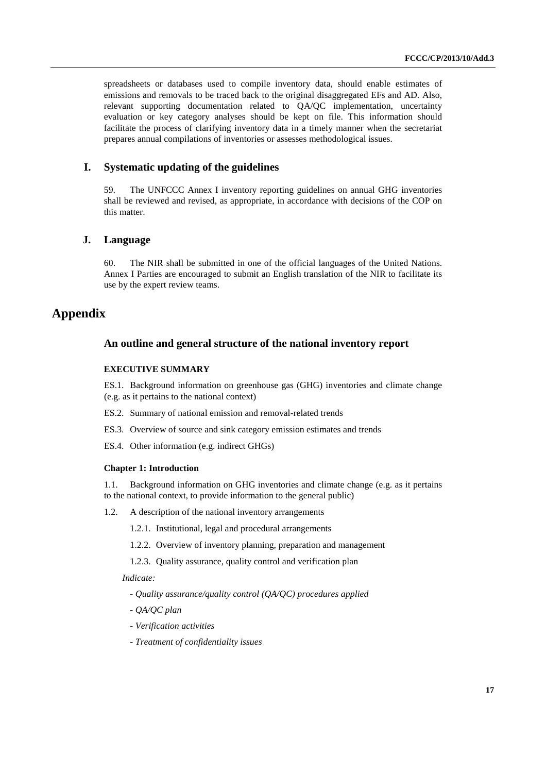spreadsheets or databases used to compile inventory data, should enable estimates of emissions and removals to be traced back to the original disaggregated EFs and AD. Also, relevant supporting documentation related to QA/QC implementation, uncertainty evaluation or key category analyses should be kept on file. This information should facilitate the process of clarifying inventory data in a timely manner when the secretariat prepares annual compilations of inventories or assesses methodological issues.

## **I. Systematic updating of the guidelines**

59. The UNFCCC Annex I inventory reporting guidelines on annual GHG inventories shall be reviewed and revised, as appropriate, in accordance with decisions of the COP on this matter.

## **J. Language**

60. The NIR shall be submitted in one of the official languages of the United Nations. Annex I Parties are encouraged to submit an English translation of the NIR to facilitate its use by the expert review teams.

# **Appendix**

# **An outline and general structure of the national inventory report**

# **EXECUTIVE SUMMARY**

ES.1. Background information on greenhouse gas (GHG) inventories and climate change (e.g. as it pertains to the national context)

- ES.2. Summary of national emission and removal-related trends
- ES.3. Overview of source and sink category emission estimates and trends
- ES.4. Other information (e.g. indirect GHGs)

#### **Chapter 1: Introduction**

1.1. Background information on GHG inventories and climate change (e.g. as it pertains to the national context, to provide information to the general public)

- 1.2. A description of the national inventory arrangements
	- 1.2.1. Institutional, legal and procedural arrangements
	- 1.2.2. Overview of inventory planning, preparation and management
	- 1.2.3. Quality assurance, quality control and verification plan

### *Indicate:*

- *Quality assurance/quality control (QA/QC) procedures applied*
- *QA/QC plan*
- *Verification activities*
- *Treatment of confidentiality issues*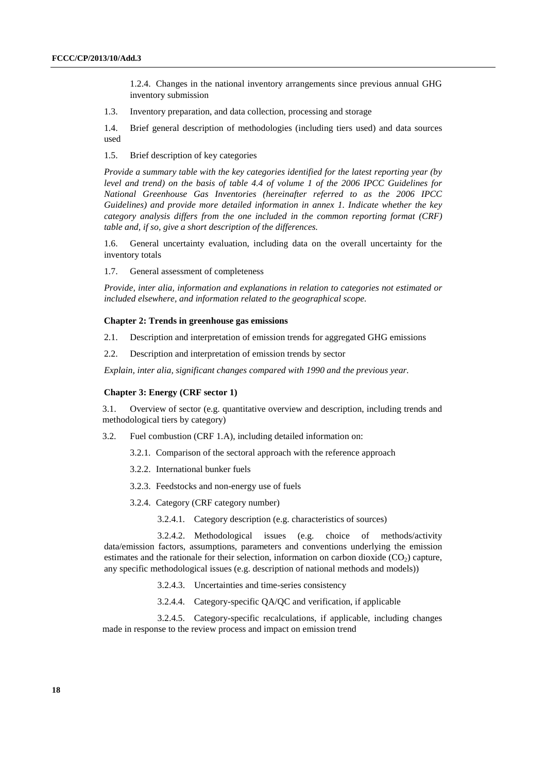1.2.4. Changes in the national inventory arrangements since previous annual GHG inventory submission

1.3. Inventory preparation, and data collection, processing and storage

1.4. Brief general description of methodologies (including tiers used) and data sources used

1.5. Brief description of key categories

*Provide a summary table with the key categories identified for the latest reporting year (by level and trend) on the basis of table 4.4 of volume 1 of the 2006 IPCC Guidelines for National Greenhouse Gas Inventories (hereinafter referred to as the 2006 IPCC Guidelines) and provide more detailed information in annex 1. Indicate whether the key category analysis differs from the one included in the common reporting format (CRF) table and, if so, give a short description of the differences.*

1.6. General uncertainty evaluation, including data on the overall uncertainty for the inventory totals

1.7. General assessment of completeness

*Provide, inter alia, information and explanations in relation to categories not estimated or included elsewhere, and information related to the geographical scope.* 

#### **Chapter 2: Trends in greenhouse gas emissions**

2.1. Description and interpretation of emission trends for aggregated GHG emissions

2.2. Description and interpretation of emission trends by sector

*Explain, inter alia, significant changes compared with 1990 and the previous year.*

#### **Chapter 3: Energy (CRF sector 1)**

3.1. Overview of sector (e.g. quantitative overview and description, including trends and methodological tiers by category)

3.2. Fuel combustion (CRF 1.A), including detailed information on:

3.2.1. Comparison of the sectoral approach with the reference approach

- 3.2.2. International bunker fuels
- 3.2.3. Feedstocks and non-energy use of fuels
- 3.2.4. Category (CRF category number)

3.2.4.1. Category description (e.g. characteristics of sources)

 3.2.4.2. Methodological issues (e.g. choice of methods/activity data/emission factors, assumptions, parameters and conventions underlying the emission estimates and the rationale for their selection, information on carbon dioxide  $(CO<sub>2</sub>)$  capture, any specific methodological issues (e.g. description of national methods and models))

3.2.4.3. Uncertainties and time-series consistency

3.2.4.4. Category-specific QA/QC and verification, if applicable

 3.2.4.5. Category-specific recalculations, if applicable, including changes made in response to the review process and impact on emission trend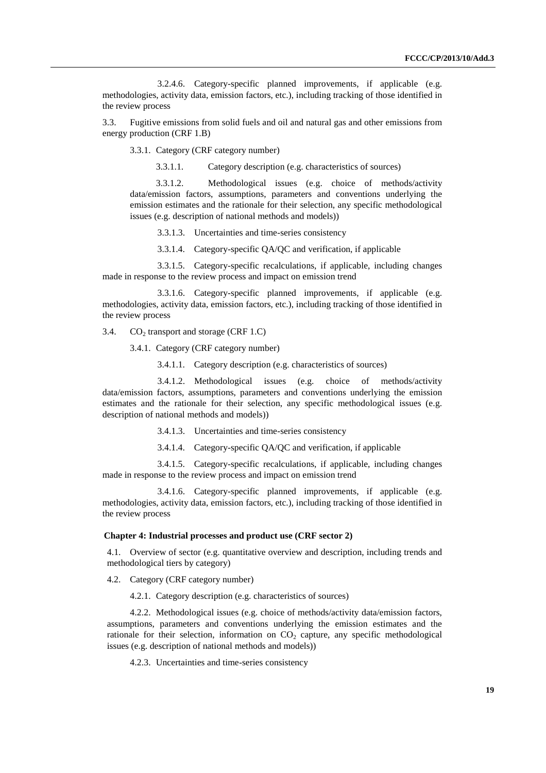3.2.4.6. Category-specific planned improvements, if applicable (e.g. methodologies, activity data, emission factors, etc.), including tracking of those identified in the review process

3.3. Fugitive emissions from solid fuels and oil and natural gas and other emissions from energy production (CRF 1.B)

3.3.1. Category (CRF category number)

3.3.1.1. Category description (e.g. characteristics of sources)

 3.3.1.2. Methodological issues (e.g. choice of methods/activity data/emission factors, assumptions, parameters and conventions underlying the emission estimates and the rationale for their selection, any specific methodological issues (e.g. description of national methods and models))

3.3.1.3. Uncertainties and time-series consistency

3.3.1.4. Category-specific QA/QC and verification, if applicable

 3.3.1.5. Category-specific recalculations, if applicable, including changes made in response to the review process and impact on emission trend

 3.3.1.6. Category-specific planned improvements, if applicable (e.g. methodologies, activity data, emission factors, etc.), including tracking of those identified in the review process

3.4.  $CO<sub>2</sub>$  transport and storage (CRF 1.C)

3.4.1. Category (CRF category number)

3.4.1.1. Category description (e.g. characteristics of sources)

 3.4.1.2. Methodological issues (e.g. choice of methods/activity data/emission factors, assumptions, parameters and conventions underlying the emission estimates and the rationale for their selection, any specific methodological issues (e.g. description of national methods and models))

3.4.1.3. Uncertainties and time-series consistency

3.4.1.4. Category-specific QA/QC and verification, if applicable

 3.4.1.5. Category-specific recalculations, if applicable, including changes made in response to the review process and impact on emission trend

 3.4.1.6. Category-specific planned improvements, if applicable (e.g. methodologies, activity data, emission factors, etc.), including tracking of those identified in the review process

#### **Chapter 4: Industrial processes and product use (CRF sector 2)**

4.1. Overview of sector (e.g. quantitative overview and description, including trends and methodological tiers by category)

4.2. Category (CRF category number)

4.2.1. Category description (e.g. characteristics of sources)

 4.2.2. Methodological issues (e.g. choice of methods/activity data/emission factors, assumptions, parameters and conventions underlying the emission estimates and the rationale for their selection, information on  $CO<sub>2</sub>$  capture, any specific methodological issues (e.g. description of national methods and models))

4.2.3. Uncertainties and time-series consistency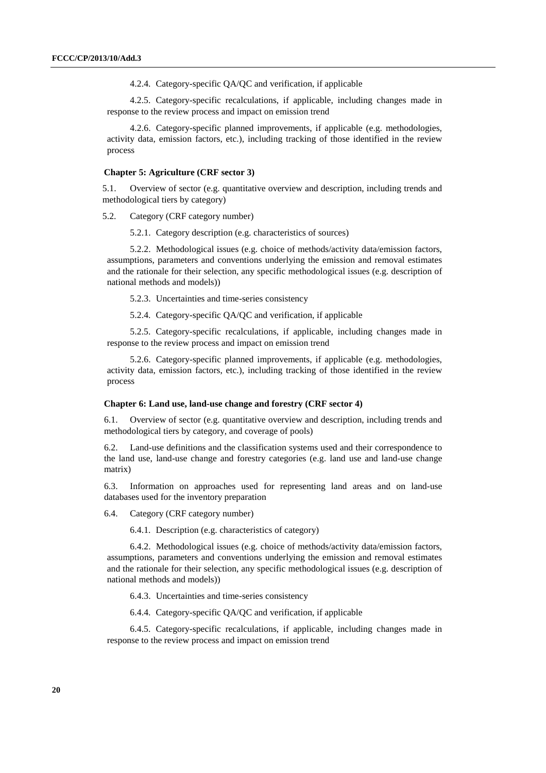4.2.4. Category-specific QA/QC and verification, if applicable

 4.2.5. Category-specific recalculations, if applicable, including changes made in response to the review process and impact on emission trend

 4.2.6. Category-specific planned improvements, if applicable (e.g. methodologies, activity data, emission factors, etc.), including tracking of those identified in the review process

#### **Chapter 5: Agriculture (CRF sector 3)**

5.1. Overview of sector (e.g. quantitative overview and description, including trends and methodological tiers by category)

5.2. Category (CRF category number)

5.2.1. Category description (e.g. characteristics of sources)

 5.2.2. Methodological issues (e.g. choice of methods/activity data/emission factors, assumptions, parameters and conventions underlying the emission and removal estimates and the rationale for their selection, any specific methodological issues (e.g. description of national methods and models))

5.2.3. Uncertainties and time-series consistency

5.2.4. Category-specific QA/QC and verification, if applicable

 5.2.5. Category-specific recalculations, if applicable, including changes made in response to the review process and impact on emission trend

 5.2.6. Category-specific planned improvements, if applicable (e.g. methodologies, activity data, emission factors, etc.), including tracking of those identified in the review process

#### **Chapter 6: Land use, land-use change and forestry (CRF sector 4)**

6.1. Overview of sector (e.g. quantitative overview and description, including trends and methodological tiers by category, and coverage of pools)

6.2. Land-use definitions and the classification systems used and their correspondence to the land use, land-use change and forestry categories (e.g. land use and land-use change matrix)

6.3. Information on approaches used for representing land areas and on land-use databases used for the inventory preparation

6.4. Category (CRF category number)

6.4.1. Description (e.g. characteristics of category)

 6.4.2. Methodological issues (e.g. choice of methods/activity data/emission factors, assumptions, parameters and conventions underlying the emission and removal estimates and the rationale for their selection, any specific methodological issues (e.g. description of national methods and models))

6.4.3. Uncertainties and time-series consistency

6.4.4. Category-specific QA/QC and verification, if applicable

 6.4.5. Category-specific recalculations, if applicable, including changes made in response to the review process and impact on emission trend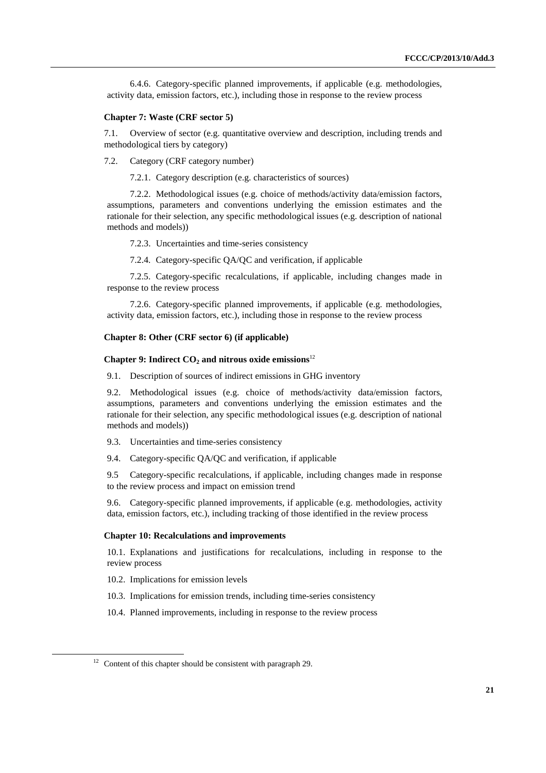6.4.6. Category-specific planned improvements, if applicable (e.g. methodologies, activity data, emission factors, etc.), including those in response to the review process

### **Chapter 7: Waste (CRF sector 5)**

7.1. Overview of sector (e.g. quantitative overview and description, including trends and methodological tiers by category)

7.2. Category (CRF category number)

7.2.1. Category description (e.g. characteristics of sources)

 7.2.2. Methodological issues (e.g. choice of methods/activity data/emission factors, assumptions, parameters and conventions underlying the emission estimates and the rationale for their selection, any specific methodological issues (e.g. description of national methods and models))

7.2.3. Uncertainties and time-series consistency

7.2.4. Category-specific QA/QC and verification, if applicable

 7.2.5. Category-specific recalculations, if applicable, including changes made in response to the review process

 7.2.6. Category-specific planned improvements, if applicable (e.g. methodologies, activity data, emission factors, etc.), including those in response to the review process

### **Chapter 8: Other (CRF sector 6) (if applicable)**

### **Chapter 9: Indirect CO<sub>2</sub> and nitrous oxide emissions<sup>12</sup>**

9.1. Description of sources of indirect emissions in GHG inventory

9.2. Methodological issues (e.g. choice of methods/activity data/emission factors, assumptions, parameters and conventions underlying the emission estimates and the rationale for their selection, any specific methodological issues (e.g. description of national methods and models))

9.3. Uncertainties and time-series consistency

9.4. Category-specific QA/QC and verification, if applicable

9.5 Category-specific recalculations, if applicable, including changes made in response to the review process and impact on emission trend

9.6. Category-specific planned improvements, if applicable (e.g. methodologies, activity data, emission factors, etc.), including tracking of those identified in the review process

### **Chapter 10: Recalculations and improvements**

10.1. Explanations and justifications for recalculations, including in response to the review process

10.2. Implications for emission levels

10.3. Implications for emission trends, including time-series consistency

10.4. Planned improvements, including in response to the review process

<sup>&</sup>lt;sup>12</sup> Content of this chapter should be consistent with paragraph 29.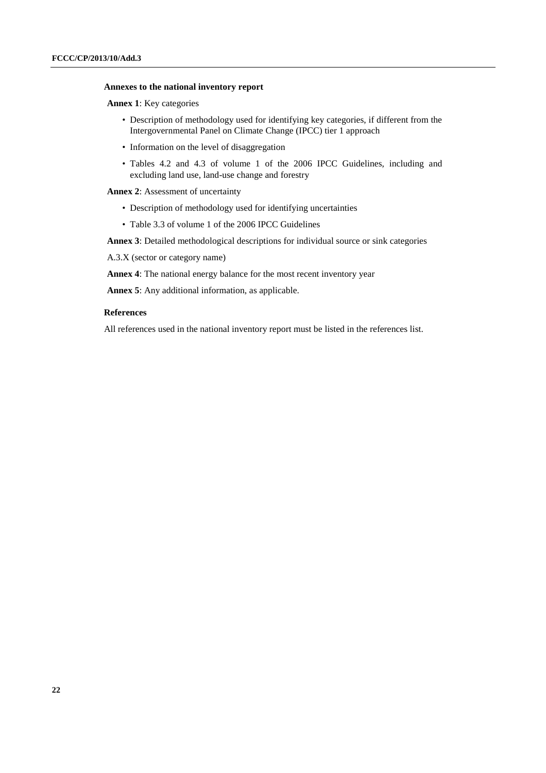### **Annexes to the national inventory report**

**Annex 1**: Key categories

- Description of methodology used for identifying key categories, if different from the Intergovernmental Panel on Climate Change (IPCC) tier 1 approach
- Information on the level of disaggregation
- Tables 4.2 and 4.3 of volume 1 of the 2006 IPCC Guidelines, including and excluding land use, land-use change and forestry

**Annex 2:** Assessment of uncertainty

- Description of methodology used for identifying uncertainties
- Table 3.3 of volume 1 of the 2006 IPCC Guidelines

**Annex 3**: Detailed methodological descriptions for individual source or sink categories

A.3.X (sector or category name)

**Annex 4**: The national energy balance for the most recent inventory year

**Annex 5**: Any additional information, as applicable.

### **References**

All references used in the national inventory report must be listed in the references list.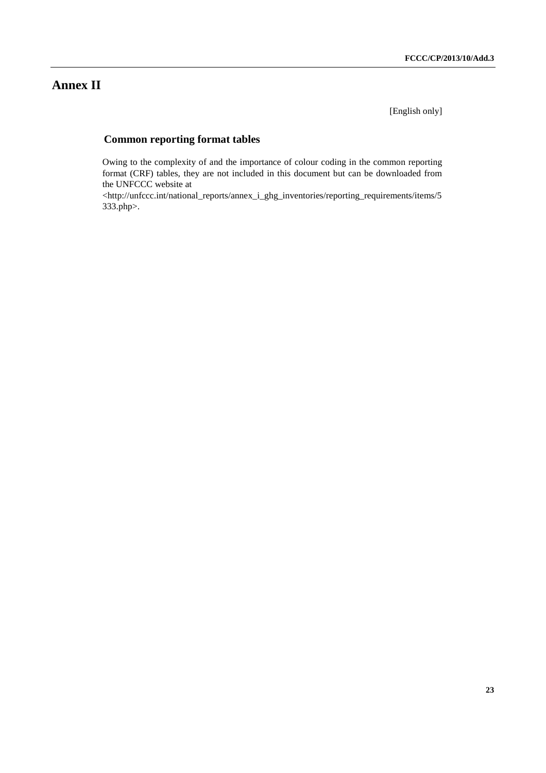# **Annex II**

[English only]

# **Common reporting format tables**

Owing to the complexity of and the importance of colour coding in the common reporting format (CRF) tables, they are not included in this document but can be downloaded from the UNFCCC website at

<http://unfccc.int/national\_reports/annex\_i\_ghg\_inventories/reporting\_requirements/items/5 333.php>.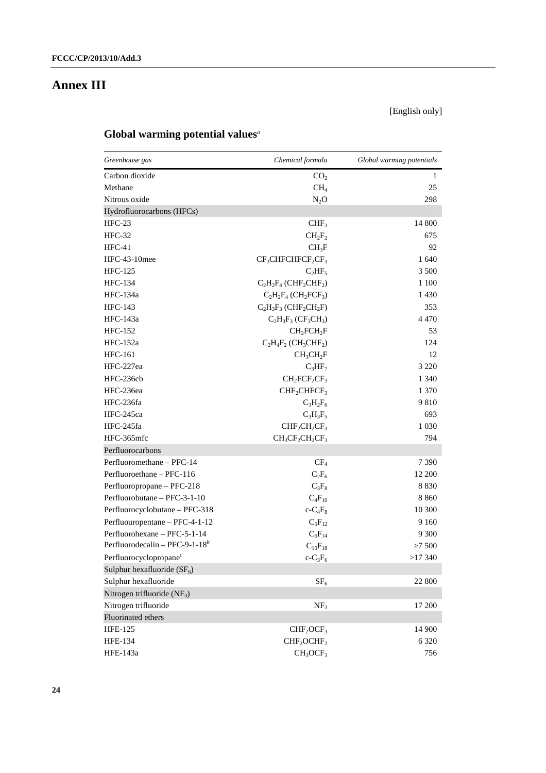# **Annex III**

# **Global warming potential values***<sup>a</sup>*

| Greenhouse gas                             | Chemical formula                                 | Global warming potentials |
|--------------------------------------------|--------------------------------------------------|---------------------------|
| Carbon dioxide                             | CO <sub>2</sub>                                  | $\mathbf{1}$              |
| Methane                                    | CH <sub>4</sub>                                  | 25                        |
| Nitrous oxide                              | $N_2O$                                           | 298                       |
| Hydrofluorocarbons (HFCs)                  |                                                  |                           |
| $HFC-23$                                   | CHF <sub>3</sub>                                 | 14 800                    |
| $HFC-32$                                   | $CH_2F_2$                                        | 675                       |
| $HFC-41$                                   | $CH_3F$                                          | 92                        |
| HFC-43-10mee                               | $CF_3CHFCHFCF_2CF_3$                             | 1 640                     |
| <b>HFC-125</b>                             | $C_2HF_5$                                        | 3 500                     |
| <b>HFC-134</b>                             | $C_2H_2F_4$ (CHF <sub>2</sub> CHF <sub>2</sub> ) | 1 100                     |
| HFC-134a                                   | $C_2H_2F_4$ (CH <sub>2</sub> FCF <sub>3</sub> )  | 1 4 3 0                   |
| <b>HFC-143</b>                             | $C_2H_3F_3$ (CHF <sub>2</sub> CH <sub>2</sub> F) | 353                       |
| HFC-143a                                   | $C_2H_3F_3(CF_3CH_3)$                            | 4 4 7 0                   |
| <b>HFC-152</b>                             | CH <sub>2</sub> FCH <sub>2</sub> F               | 53                        |
| HFC-152a                                   | $C_2H_4F_2$ (CH <sub>3</sub> CHF <sub>2</sub> )  | 124                       |
| <b>HFC-161</b>                             | $CH_3CH_2F$                                      | 12                        |
| HFC-227ea                                  | $C_3HF_7$                                        | 3 2 2 0                   |
| HFC-236cb                                  | $CH_2FCF_2CF_3$                                  | 1 3 4 0                   |
| HFC-236ea                                  | CHF <sub>2</sub> CHFCF <sub>3</sub>              | 1 370                     |
| HFC-236fa                                  | $C_3H_2F_6$                                      | 9810                      |
| HFC-245ca                                  | $C_3H_3F_5$                                      | 693                       |
| HFC-245fa                                  | $CHF2CH2CF3$                                     | $1\;030$                  |
| HFC-365mfc                                 | $CH_3CF_2CH_2CF_3$                               | 794                       |
| Perfluorocarbons                           |                                                  |                           |
| Perfluoromethane - PFC-14                  | CF <sub>4</sub>                                  | 7 3 9 0                   |
| Perfluoroethane - PFC-116                  | $C_2F_6$                                         | 12 200                    |
| Perfluoropropane - PFC-218                 | $C_3F_8$                                         | 8 8 3 0                   |
| Perfluorobutane - PFC-3-1-10               | $C_4F_{10}$                                      | 8860                      |
| Perfluorocyclobutane - PFC-318             | $c$ - $C_4F_8$                                   | 10 300                    |
| Perfluouropentane - PFC-4-1-12             | $C_5F_{12}$                                      | 9 1 6 0                   |
| Perfluorohexane - PFC-5-1-14               | $C_6F_{14}$                                      | 9 300                     |
| Perfluorodecalin – PFC-9-1-18 <sup>b</sup> | $C_{10}F_{18}$                                   | >7500                     |
| Perfluorocyclopropane <sup>c</sup>         | $c-C_3F_6$                                       | >17340                    |
| Sulphur hexafluoride $(SF_6)$              |                                                  |                           |
| Sulphur hexafluoride                       | SF <sub>6</sub>                                  | 22 800                    |
| Nitrogen trifluoride $(NF_3)$              |                                                  |                           |
| Nitrogen trifluoride                       | NF <sub>3</sub>                                  | 17 200                    |
| Fluorinated ethers                         |                                                  |                           |
| <b>HFE-125</b>                             | CHF <sub>2</sub> OCF <sub>3</sub>                | 14 900                    |
| <b>HFE-134</b>                             | CHF <sub>2</sub> OCHF <sub>2</sub>               | 6 3 2 0                   |
| HFE-143a                                   | CH <sub>3</sub> OCF <sub>3</sub>                 | 756                       |